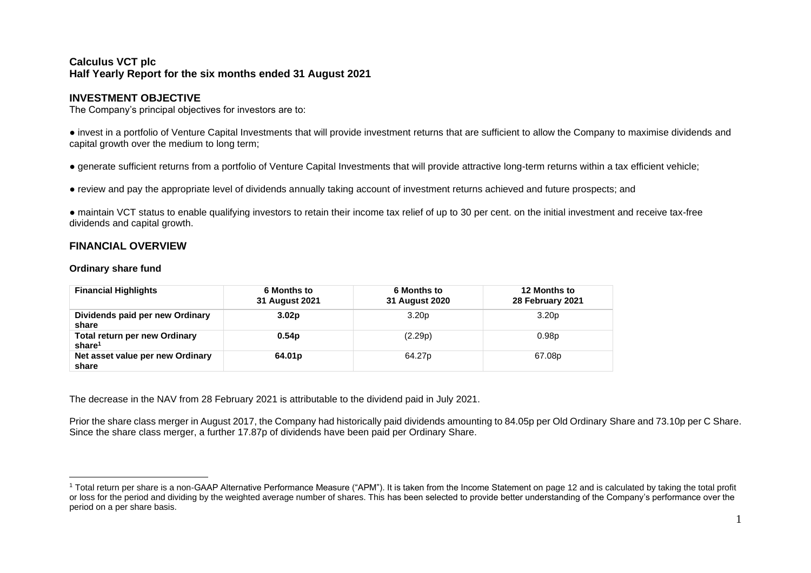# **Calculus VCT plc Half Yearly Report for the six months ended 31 August 2021**

# **INVESTMENT OBJECTIVE**

The Company's principal objectives for investors are to:

● invest in a portfolio of Venture Capital Investments that will provide investment returns that are sufficient to allow the Company to maximise dividends and capital growth over the medium to long term;

● generate sufficient returns from a portfolio of Venture Capital Investments that will provide attractive long-term returns within a tax efficient vehicle;

● review and pay the appropriate level of dividends annually taking account of investment returns achieved and future prospects; and

● maintain VCT status to enable qualifying investors to retain their income tax relief of up to 30 per cent. on the initial investment and receive tax-free dividends and capital growth.

# **FINANCIAL OVERVIEW**

### **Ordinary share fund**

| <b>Financial Highlights</b>                                | 6 Months to<br>31 August 2021 | 6 Months to<br>31 August 2020 | 12 Months to<br>28 February 2021 |
|------------------------------------------------------------|-------------------------------|-------------------------------|----------------------------------|
| Dividends paid per new Ordinary<br>share                   | 3.02 <sub>p</sub>             | 3.20 <sub>p</sub>             | 3.20 <sub>p</sub>                |
| <b>Total return per new Ordinary</b><br>share <sup>1</sup> | 0.54 <sub>p</sub>             | (2.29p)                       | 0.98 <sub>p</sub>                |
| Net asset value per new Ordinary<br>share                  | 64.01 <sub>p</sub>            | 64.27 <sub>p</sub>            | 67.08p                           |

The decrease in the NAV from 28 February 2021 is attributable to the dividend paid in July 2021.

Prior the share class merger in August 2017, the Company had historically paid dividends amounting to 84.05p per Old Ordinary Share and 73.10p per C Share. Since the share class merger, a further 17.87p of dividends have been paid per Ordinary Share.

<sup>1</sup> Total return per share is a non-GAAP Alternative Performance Measure ("APM"). It is taken from the Income Statement on page 12 and is calculated by taking the total profit or loss for the period and dividing by the weighted average number of shares. This has been selected to provide better understanding of the Company's performance over the period on a per share basis.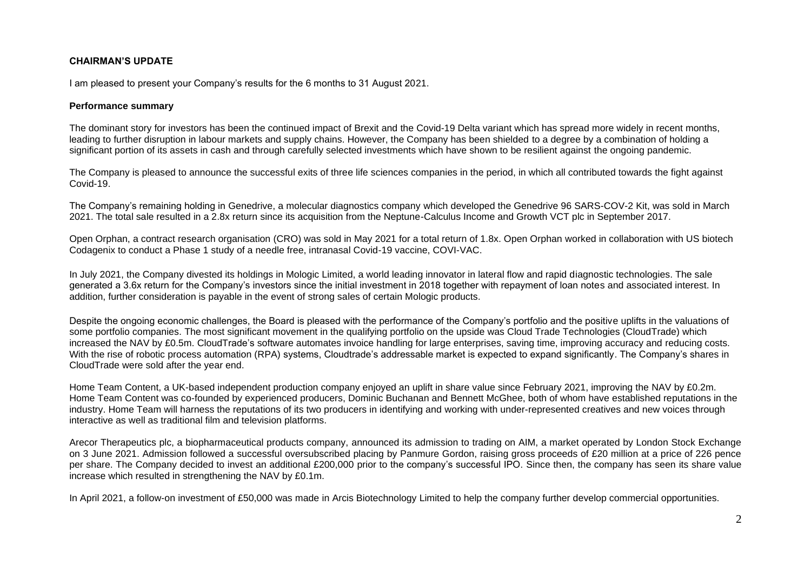# **CHAIRMAN'S UPDATE**

I am pleased to present your Company's results for the 6 months to 31 August 2021.

#### **Performance summary**

The dominant story for investors has been the continued impact of Brexit and the Covid-19 Delta variant which has spread more widely in recent months, leading to further disruption in labour markets and supply chains. However, the Company has been shielded to a degree by a combination of holding a significant portion of its assets in cash and through carefully selected investments which have shown to be resilient against the ongoing pandemic.

The Company is pleased to announce the successful exits of three life sciences companies in the period, in which all contributed towards the fight against Covid-19.

The Company's remaining holding in Genedrive, a molecular diagnostics company which developed the Genedrive 96 SARS-COV-2 Kit, was sold in March 2021. The total sale resulted in a 2.8x return since its acquisition from the Neptune-Calculus Income and Growth VCT plc in September 2017.

Open Orphan, a contract research organisation (CRO) was sold in May 2021 for a total return of 1.8x. Open Orphan worked in collaboration with US biotech Codagenix to conduct a Phase 1 study of a needle free, intranasal Covid-19 vaccine, COVI-VAC.

In July 2021, the Company divested its holdings in Mologic Limited, a world leading innovator in lateral flow and rapid diagnostic technologies. The sale generated a 3.6x return for the Company's investors since the initial investment in 2018 together with repayment of loan notes and associated interest. In addition, further consideration is payable in the event of strong sales of certain Mologic products.

Despite the ongoing economic challenges, the Board is pleased with the performance of the Company's portfolio and the positive uplifts in the valuations of some portfolio companies. The most significant movement in the qualifying portfolio on the upside was Cloud Trade Technologies (CloudTrade) which increased the NAV by £0.5m. CloudTrade's software automates invoice handling for large enterprises, saving time, improving accuracy and reducing costs. With the rise of robotic process automation (RPA) systems, Cloudtrade's addressable market is expected to expand significantly. The Company's shares in CloudTrade were sold after the year end.

Home Team Content, a UK-based independent production company enjoyed an uplift in share value since February 2021, improving the NAV by £0.2m. Home Team Content was co-founded by experienced producers, Dominic Buchanan and Bennett McGhee, both of whom have established reputations in the industry. Home Team will harness the reputations of its two producers in identifying and working with under-represented creatives and new voices through interactive as well as traditional film and television platforms.

Arecor Therapeutics plc, a biopharmaceutical products company, announced its admission to trading on AIM, a market operated by London Stock Exchange on 3 June 2021. Admission followed a successful oversubscribed placing by Panmure Gordon, raising gross proceeds of £20 million at a price of 226 pence per share. The Company decided to invest an additional £200,000 prior to the company's successful IPO. Since then, the company has seen its share value increase which resulted in strengthening the NAV by £0.1m.

In April 2021, a follow-on investment of £50,000 was made in Arcis Biotechnology Limited to help the company further develop commercial opportunities.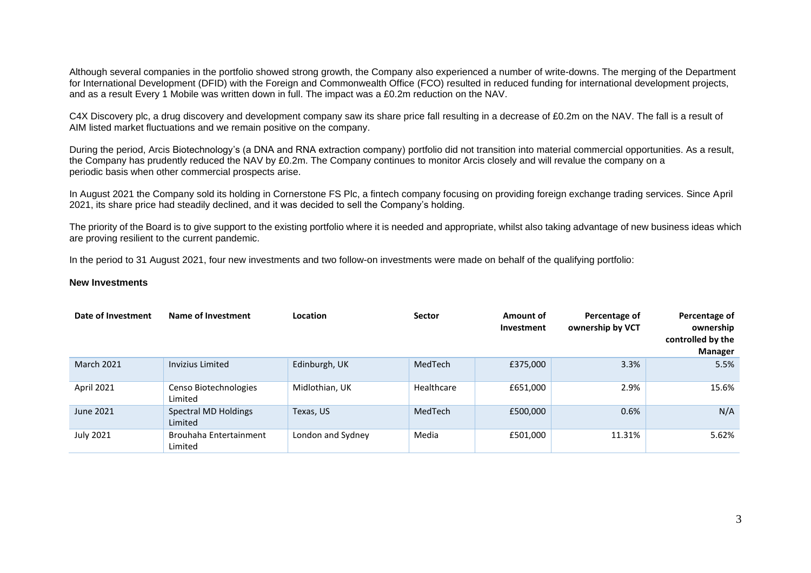Although several companies in the portfolio showed strong growth, the Company also experienced a number of write-downs. The merging of the Department for International Development (DFID) with the Foreign and Commonwealth Office (FCO) resulted in reduced funding for international development projects, and as a result Every 1 Mobile was written down in full. The impact was a £0.2m reduction on the NAV.

C4X Discovery plc, a drug discovery and development company saw its share price fall resulting in a decrease of £0.2m on the NAV. The fall is a result of AIM listed market fluctuations and we remain positive on the company.

During the period, Arcis Biotechnology's (a DNA and RNA extraction company) portfolio did not transition into material commercial opportunities. As a result, the Company has prudently reduced the NAV by £0.2m. The Company continues to monitor Arcis closely and will revalue the company on a periodic basis when other commercial prospects arise.

In August 2021 the Company sold its holding in Cornerstone FS Plc, a fintech company focusing on providing foreign exchange trading services. Since April 2021, its share price had steadily declined, and it was decided to sell the Company's holding.

The priority of the Board is to give support to the existing portfolio where it is needed and appropriate, whilst also taking advantage of new business ideas which are proving resilient to the current pandemic.

In the period to 31 August 2021, four new investments and two follow-on investments were made on behalf of the qualifying portfolio:

#### **New Investments**

| Date of Investment | Name of Investment                | Location          | <b>Sector</b> | Amount of<br>Investment | Percentage of<br>ownership by VCT | Percentage of<br>ownership<br>controlled by the<br><b>Manager</b> |
|--------------------|-----------------------------------|-------------------|---------------|-------------------------|-----------------------------------|-------------------------------------------------------------------|
| <b>March 2021</b>  | Invizius Limited                  | Edinburgh, UK     | MedTech       | £375,000                | 3.3%                              | 5.5%                                                              |
| April 2021         | Censo Biotechnologies<br>Limited  | Midlothian, UK    | Healthcare    | £651,000                | 2.9%                              | 15.6%                                                             |
| June 2021          | Spectral MD Holdings<br>Limited   | Texas, US         | MedTech       | £500,000                | 0.6%                              | N/A                                                               |
| <b>July 2021</b>   | Brouhaha Entertainment<br>Limited | London and Sydney | Media         | £501,000                | 11.31%                            | 5.62%                                                             |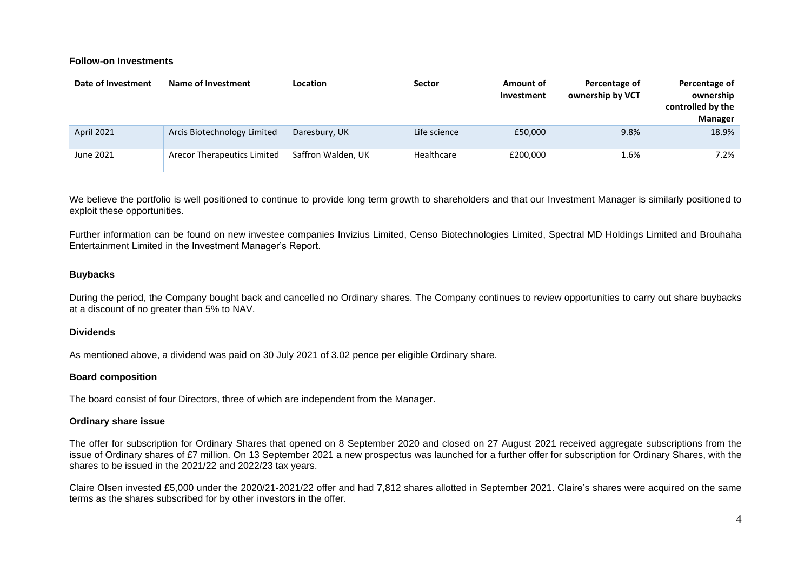#### **Follow-on Investments**

| Date of Investment | Name of Investment          | Location           | <b>Sector</b> | Amount of<br>Investment | Percentage of<br>ownership by VCT | Percentage of<br>ownership<br>controlled by the<br><b>Manager</b> |
|--------------------|-----------------------------|--------------------|---------------|-------------------------|-----------------------------------|-------------------------------------------------------------------|
| <b>April 2021</b>  | Arcis Biotechnology Limited | Daresbury, UK      | Life science  | £50,000                 | 9.8%                              | 18.9%                                                             |
| June 2021          | Arecor Therapeutics Limited | Saffron Walden, UK | Healthcare    | £200,000                | 1.6%                              | 7.2%                                                              |

We believe the portfolio is well positioned to continue to provide long term growth to shareholders and that our Investment Manager is similarly positioned to exploit these opportunities.

Further information can be found on new investee companies Invizius Limited, Censo Biotechnologies Limited, Spectral MD Holdings Limited and Brouhaha Entertainment Limited in the Investment Manager's Report.

#### **Buybacks**

During the period, the Company bought back and cancelled no Ordinary shares. The Company continues to review opportunities to carry out share buybacks at a discount of no greater than 5% to NAV.

#### **Dividends**

As mentioned above, a dividend was paid on 30 July 2021 of 3.02 pence per eligible Ordinary share.

#### **Board composition**

The board consist of four Directors, three of which are independent from the Manager.

#### **Ordinary share issue**

The offer for subscription for Ordinary Shares that opened on 8 September 2020 and closed on 27 August 2021 received aggregate subscriptions from the issue of Ordinary shares of £7 million. On 13 September 2021 a new prospectus was launched for a further offer for subscription for Ordinary Shares, with the shares to be issued in the 2021/22 and 2022/23 tax years.

Claire Olsen invested £5,000 under the 2020/21-2021/22 offer and had 7,812 shares allotted in September 2021. Claire's shares were acquired on the same terms as the shares subscribed for by other investors in the offer.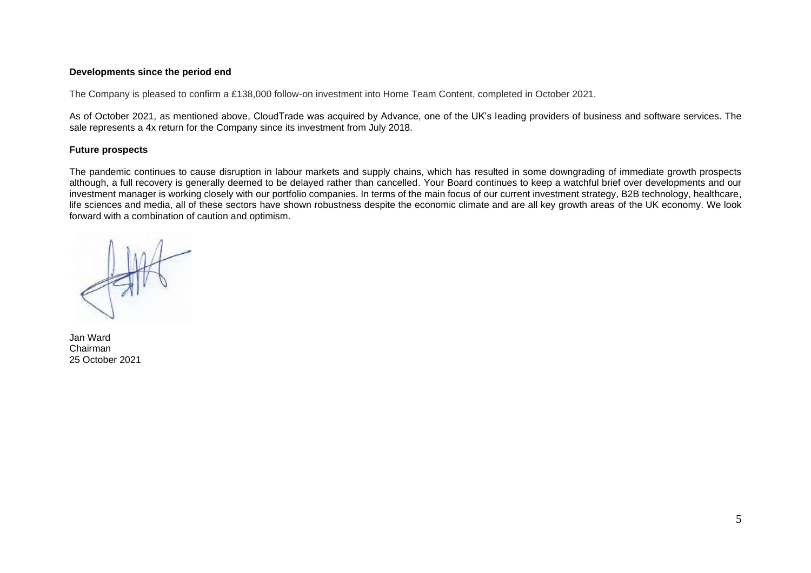### **Developments since the period end**

The Company is pleased to confirm a £138,000 follow-on investment into Home Team Content, completed in October 2021.

As of October 2021, as mentioned above, CloudTrade was acquired by Advance, one of the UK's leading providers of business and software services. The sale represents a 4x return for the Company since its investment from July 2018.

#### **Future prospects**

The pandemic continues to cause disruption in labour markets and supply chains, which has resulted in some downgrading of immediate growth prospects although, a full recovery is generally deemed to be delayed rather than cancelled. Your Board continues to keep a watchful brief over developments and our investment manager is working closely with our portfolio companies. In terms of the main focus of our current investment strategy, B2B technology, healthcare, life sciences and media, all of these sectors have shown robustness despite the economic climate and are all key growth areas of the UK economy. We look forward with a combination of caution and optimism.

Jan Ward Chairman 25 October 2021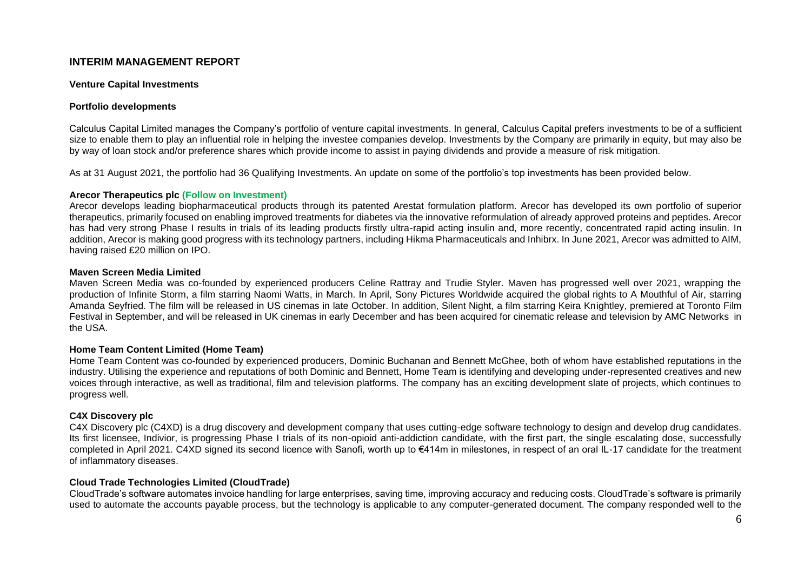# **INTERIM MANAGEMENT REPORT**

#### **Venture Capital Investments**

#### **Portfolio developments**

Calculus Capital Limited manages the Company's portfolio of venture capital investments. In general, Calculus Capital prefers investments to be of a sufficient size to enable them to play an influential role in helping the investee companies develop. Investments by the Company are primarily in equity, but may also be by way of loan stock and/or preference shares which provide income to assist in paying dividends and provide a measure of risk mitigation.

As at 31 August 2021, the portfolio had 36 Qualifying Investments. An update on some of the portfolio's top investments has been provided below.

#### **Arecor Therapeutics plc (Follow on Investment)**

Arecor develops leading biopharmaceutical products through its patented Arestat formulation platform. Arecor has developed its own portfolio of superior therapeutics, primarily focused on enabling improved treatments for diabetes via the innovative reformulation of already approved proteins and peptides. Arecor has had very strong Phase I results in trials of its leading products firstly ultra-rapid acting insulin and, more recently, concentrated rapid acting insulin. In addition, Arecor is making good progress with its technology partners, including Hikma Pharmaceuticals and Inhibrx. In June 2021, Arecor was admitted to AIM, having raised £20 million on IPO.

#### **Maven Screen Media Limited**

Maven Screen Media was co-founded by experienced producers Celine Rattray and Trudie Styler. Maven has progressed well over 2021, wrapping the production of Infinite Storm, a film starring Naomi Watts, in March. In April, Sony Pictures Worldwide acquired the global rights to A Mouthful of Air, starring Amanda Seyfried. The film will be released in US cinemas in late October. In addition, Silent Night, a film starring Keira Knightley, premiered at Toronto Film Festival in September, and will be released in UK cinemas in early December and has been acquired for cinematic release and television by AMC Networks in the USA.

#### **Home Team Content Limited (Home Team)**

Home Team Content was co-founded by experienced producers, Dominic Buchanan and Bennett McGhee, both of whom have established reputations in the industry. Utilising the experience and reputations of both Dominic and Bennett, Home Team is identifying and developing under-represented creatives and new voices through interactive, as well as traditional, film and television platforms. The company has an exciting development slate of projects, which continues to progress well.

#### **C4X Discovery plc**

C4X Discovery plc (C4XD) is a drug discovery and development company that uses cutting-edge software technology to design and develop drug candidates. Its first licensee, Indivior, is progressing Phase I trials of its non-opioid anti-addiction candidate, with the first part, the single escalating dose, successfully completed in April 2021. C4XD signed its second licence with Sanofi, worth up to €414m in milestones, in respect of an oral IL-17 candidate for the treatment of inflammatory diseases.

#### **Cloud Trade Technologies Limited (CloudTrade)**

CloudTrade's software automates invoice handling for large enterprises, saving time, improving accuracy and reducing costs. CloudTrade's software is primarily used to automate the accounts payable process, but the technology is applicable to any computer-generated document. The company responded well to the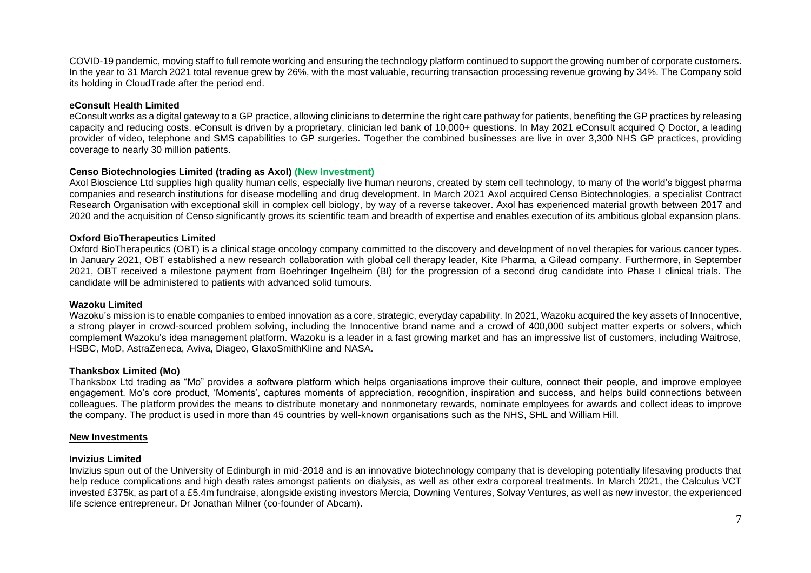COVID-19 pandemic, moving staff to full remote working and ensuring the technology platform continued to support the growing number of corporate customers. In the year to 31 March 2021 total revenue grew by 26%, with the most valuable, recurring transaction processing revenue growing by 34%. The Company sold its holding in CloudTrade after the period end.

#### **eConsult Health Limited**

eConsult works as a digital gateway to a GP practice, allowing clinicians to determine the right care pathway for patients, benefiting the GP practices by releasing capacity and reducing costs. eConsult is driven by a proprietary, clinician led bank of 10,000+ questions. In May 2021 eConsult acquired Q Doctor, a leading provider of video, telephone and SMS capabilities to GP surgeries. Together the combined businesses are live in over 3,300 NHS GP practices, providing coverage to nearly 30 million patients.

#### **Censo Biotechnologies Limited (trading as Axol) (New Investment)**

Axol Bioscience Ltd supplies high quality human cells, especially live human neurons, created by stem cell technology, to many of the world's biggest pharma companies and research institutions for disease modelling and drug development. In March 2021 Axol acquired Censo Biotechnologies, a specialist Contract Research Organisation with exceptional skill in complex cell biology, by way of a reverse takeover. Axol has experienced material growth between 2017 and 2020 and the acquisition of Censo significantly grows its scientific team and breadth of expertise and enables execution of its ambitious global expansion plans.

#### **Oxford BioTherapeutics Limited**

Oxford BioTherapeutics (OBT) is a clinical stage oncology company committed to the discovery and development of novel therapies for various cancer types. In January 2021, OBT established a new research collaboration with global cell therapy leader, Kite Pharma, a Gilead company. Furthermore, in September 2021, OBT received a milestone payment from Boehringer Ingelheim (BI) for the progression of a second drug candidate into Phase I clinical trials. The candidate will be administered to patients with advanced solid tumours.

#### **Wazoku Limited**

Wazoku's mission is to enable companies to embed innovation as a core, strategic, everyday capability. In 2021, Wazoku acquired the key assets of Innocentive, a strong player in crowd-sourced problem solving, including the Innocentive brand name and a crowd of 400,000 subject matter experts or solvers, which complement Wazoku's idea management platform. Wazoku is a leader in a fast growing market and has an impressive list of customers, including Waitrose, HSBC, MoD, AstraZeneca, Aviva, Diageo, GlaxoSmithKline and NASA.

#### **Thanksbox Limited (Mo)**

Thanksbox Ltd trading as "Mo" provides a software platform which helps organisations improve their culture, connect their people, and improve employee engagement. Mo's core product, 'Moments', captures moments of appreciation, recognition, inspiration and success, and helps build connections between colleagues. The platform provides the means to distribute monetary and nonmonetary rewards, nominate employees for awards and collect ideas to improve the company. The product is used in more than 45 countries by well-known organisations such as the NHS, SHL and William Hill.

#### **New Investments**

#### **Invizius Limited**

Invizius spun out of the University of Edinburgh in mid-2018 and is an innovative biotechnology company that is developing potentially lifesaving products that help reduce complications and high death rates amongst patients on dialysis, as well as other extra corporeal treatments. In March 2021, the Calculus VCT invested £375k, as part of a £5.4m fundraise, alongside existing investors Mercia, Downing Ventures, Solvay Ventures, as well as new investor, the experienced life science entrepreneur, Dr Jonathan Milner (co-founder of Abcam).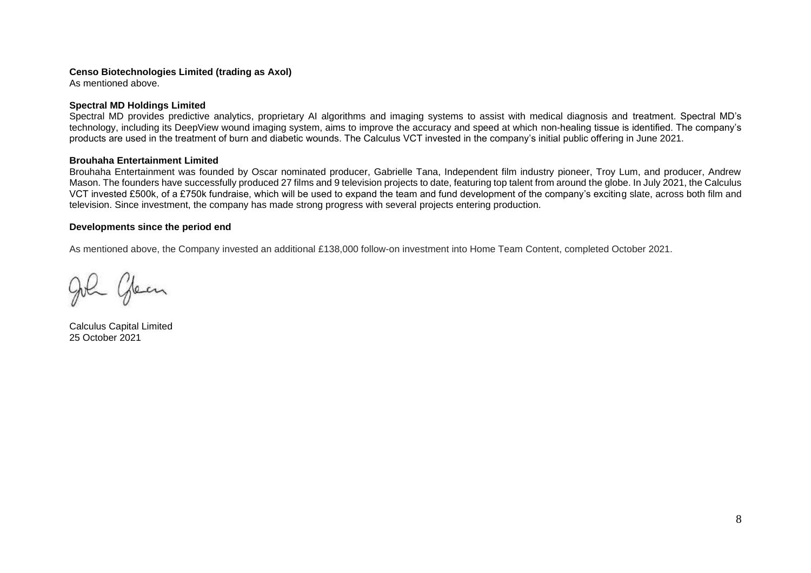#### **Censo Biotechnologies Limited (trading as Axol)**

As mentioned above.

#### **Spectral MD Holdings Limited**

Spectral MD provides predictive analytics, proprietary AI algorithms and imaging systems to assist with medical diagnosis and treatment. Spectral MD's technology, including its DeepView wound imaging system, aims to improve the accuracy and speed at which non-healing tissue is identified. The company's products are used in the treatment of burn and diabetic wounds. The Calculus VCT invested in the company's initial public offering in June 2021.

#### **Brouhaha Entertainment Limited**

Brouhaha Entertainment was founded by Oscar nominated producer, Gabrielle Tana, Independent film industry pioneer, Troy Lum, and producer, Andrew Mason. The founders have successfully produced 27 films and 9 television projects to date, featuring top talent from around the globe. In July 2021, the Calculus VCT invested £500k, of a £750k fundraise, which will be used to expand the team and fund development of the company's exciting slate, across both film and television. Since investment, the company has made strong progress with several projects entering production.

#### **Developments since the period end**

As mentioned above, the Company invested an additional £138,000 follow-on investment into Home Team Content, completed October 2021.

John Glean

Calculus Capital Limited 25 October 2021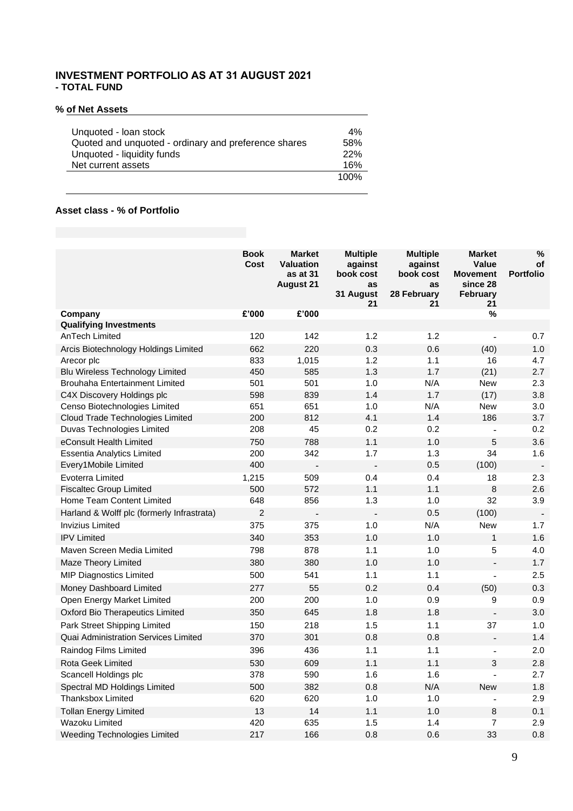# **INVESTMENT PORTFOLIO AS AT 31 AUGUST 2021 - TOTAL FUND**

### **% of Net Assets**

# **Asset class - % of Portfolio**

|                                            | <b>Book</b><br>Cost | <b>Market</b><br><b>Valuation</b><br>as at 31<br><b>August 21</b> | <b>Multiple</b><br>against<br>book cost<br>as | <b>Multiple</b><br>against<br>book cost<br><b>as</b> | <b>Market</b><br><b>Value</b><br><b>Movement</b><br>since 28 | %<br>οf<br><b>Portfolio</b> |
|--------------------------------------------|---------------------|-------------------------------------------------------------------|-----------------------------------------------|------------------------------------------------------|--------------------------------------------------------------|-----------------------------|
|                                            |                     |                                                                   | 31 August<br>21                               | 28 February<br>21                                    | February<br>21                                               |                             |
| Company                                    | £'000               | £'000                                                             |                                               |                                                      | %                                                            |                             |
| <b>Qualifying Investments</b>              |                     |                                                                   |                                               |                                                      |                                                              |                             |
| AnTech Limited                             | 120                 | 142                                                               | 1.2                                           | 1.2                                                  | $\blacksquare$                                               | 0.7                         |
| Arcis Biotechnology Holdings Limited       | 662                 | 220                                                               | 0.3                                           | 0.6                                                  | (40)                                                         | 1.0                         |
| Arecor plc                                 | 833                 | 1,015                                                             | 1.2                                           | 1.1                                                  | 16                                                           | 4.7                         |
| Blu Wireless Technology Limited            | 450                 | 585                                                               | 1.3                                           | 1.7                                                  | (21)                                                         | 2.7                         |
| Brouhaha Entertainment Limited             | 501                 | 501                                                               | 1.0                                           | N/A                                                  | <b>New</b>                                                   | 2.3                         |
| C4X Discovery Holdings plc                 | 598                 | 839                                                               | 1.4                                           | 1.7                                                  | (17)                                                         | 3.8                         |
| Censo Biotechnologies Limited              | 651                 | 651                                                               | 1.0                                           | N/A                                                  | <b>New</b>                                                   | 3.0                         |
| Cloud Trade Technologies Limited           | 200                 | 812                                                               | 4.1                                           | 1.4                                                  | 186                                                          | 3.7                         |
| Duvas Technologies Limited                 | 208                 | 45                                                                | 0.2                                           | 0.2                                                  | ä,                                                           | 0.2                         |
| eConsult Health Limited                    | 750                 | 788                                                               | 1.1                                           | 1.0                                                  | 5                                                            | 3.6                         |
| <b>Essentia Analytics Limited</b>          | 200                 | 342                                                               | 1.7                                           | 1.3                                                  | 34                                                           | 1.6                         |
| Every1Mobile Limited                       | 400                 |                                                                   | $\overline{\phantom{0}}$                      | 0.5                                                  | (100)                                                        | $\overline{\phantom{a}}$    |
| Evoterra Limited                           | 1,215               | 509                                                               | 0.4                                           | 0.4                                                  | 18                                                           | 2.3                         |
| <b>Fiscaltec Group Limited</b>             | 500                 | 572                                                               | 1.1                                           | 1.1                                                  | 8                                                            | 2.6                         |
| Home Team Content Limited                  | 648                 | 856                                                               | 1.3                                           | 1.0                                                  | 32                                                           | 3.9                         |
| Harland & Wolff plc (formerly Infrastrata) | $\overline{c}$      | $\blacksquare$                                                    | $\overline{a}$                                | 0.5                                                  | (100)                                                        | $\blacksquare$              |
| <b>Invizius Limited</b>                    | 375                 | 375                                                               | 1.0                                           | N/A                                                  | <b>New</b>                                                   | 1.7                         |
| <b>IPV Limited</b>                         | 340                 | 353                                                               | 1.0                                           | 1.0                                                  | $\mathbf{1}$                                                 | 1.6                         |
| Maven Screen Media Limited                 | 798                 | 878                                                               | 1.1                                           | 1.0                                                  | 5                                                            | 4.0                         |
| Maze Theory Limited                        | 380                 | 380                                                               | 1.0                                           | 1.0                                                  | $\overline{a}$                                               | 1.7                         |
| <b>MIP Diagnostics Limited</b>             | 500                 | 541                                                               | 1.1                                           | 1.1                                                  | L,                                                           | 2.5                         |
| Money Dashboard Limited                    | 277                 | 55                                                                | 0.2                                           | 0.4                                                  | (50)                                                         | 0.3                         |
| Open Energy Market Limited                 | 200                 | 200                                                               | 1.0                                           | 0.9                                                  | 9                                                            | 0.9                         |
| <b>Oxford Bio Therapeutics Limited</b>     | 350                 | 645                                                               | 1.8                                           | 1.8                                                  | $\overline{a}$                                               | 3.0                         |
| Park Street Shipping Limited               | 150                 | 218                                                               | 1.5                                           | 1.1                                                  | 37                                                           | 1.0                         |
| Quai Administration Services Limited       | 370                 | 301                                                               | 0.8                                           | 0.8                                                  | $\overline{a}$                                               | 1.4                         |
| Raindog Films Limited                      | 396                 | 436                                                               | 1.1                                           | 1.1                                                  | $\overline{a}$                                               | 2.0                         |
| Rota Geek Limited                          | 530                 | 609                                                               | 1.1                                           | 1.1                                                  | 3                                                            | 2.8                         |
| Scancell Holdings plc                      | 378                 | 590                                                               | 1.6                                           | 1.6                                                  | $\overline{a}$                                               | 2.7                         |
| Spectral MD Holdings Limited               | 500                 | 382                                                               | 0.8                                           | N/A                                                  | <b>New</b>                                                   | 1.8                         |
| <b>Thanksbox Limited</b>                   | 620                 | 620                                                               | 1.0                                           | 1.0                                                  | $\overline{a}$                                               | 2.9                         |
| <b>Tollan Energy Limited</b>               | 13                  | 14                                                                | 1.1                                           | 1.0                                                  | 8                                                            | 0.1                         |
| Wazoku Limited                             | 420                 | 635                                                               | 1.5                                           | 1.4                                                  | $\overline{7}$                                               | 2.9                         |
| Weeding Technologies Limited               | 217                 | 166                                                               | 0.8                                           | 0.6                                                  | 33                                                           | 0.8                         |
|                                            |                     |                                                                   |                                               |                                                      |                                                              |                             |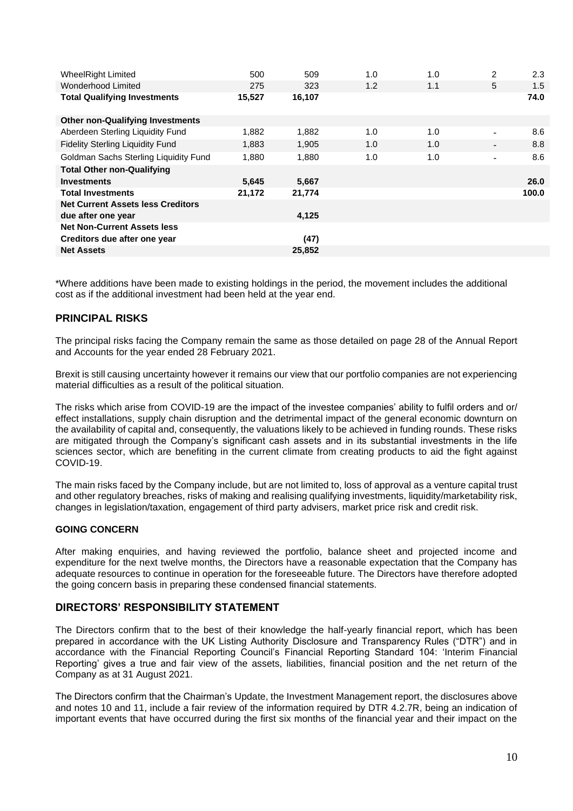| <b>WheelRight Limited</b>                | 500    | 509    | 1.0 | 1.0 | $\overline{2}$ | 2.3   |
|------------------------------------------|--------|--------|-----|-----|----------------|-------|
| Wonderhood Limited                       | 275    | 323    | 1.2 | 1.1 | 5              | 1.5   |
| <b>Total Qualifying Investments</b>      | 15,527 | 16,107 |     |     |                | 74.0  |
|                                          |        |        |     |     |                |       |
| <b>Other non-Qualifying Investments</b>  |        |        |     |     |                |       |
| Aberdeen Sterling Liquidity Fund         | 1,882  | 1,882  | 1.0 | 1.0 |                | 8.6   |
| <b>Fidelity Sterling Liquidity Fund</b>  | 1,883  | 1,905  | 1.0 | 1.0 |                | 8.8   |
| Goldman Sachs Sterling Liquidity Fund    | 1,880  | 1.880  | 1.0 | 1.0 | ٠              | 8.6   |
| <b>Total Other non-Qualifying</b>        |        |        |     |     |                |       |
| <b>Investments</b>                       | 5,645  | 5,667  |     |     |                | 26.0  |
| <b>Total Investments</b>                 | 21,172 | 21,774 |     |     |                | 100.0 |
| <b>Net Current Assets less Creditors</b> |        |        |     |     |                |       |
| due after one year                       |        | 4,125  |     |     |                |       |
| <b>Net Non-Current Assets less</b>       |        |        |     |     |                |       |
| Creditors due after one year             |        | (47)   |     |     |                |       |
| <b>Net Assets</b>                        |        | 25.852 |     |     |                |       |

\*Where additions have been made to existing holdings in the period, the movement includes the additional cost as if the additional investment had been held at the year end.

# **PRINCIPAL RISKS**

The principal risks facing the Company remain the same as those detailed on page 28 of the Annual Report and Accounts for the year ended 28 February 2021.

Brexit is still causing uncertainty however it remains our view that our portfolio companies are not experiencing material difficulties as a result of the political situation.

The risks which arise from COVID-19 are the impact of the investee companies' ability to fulfil orders and or/ effect installations, supply chain disruption and the detrimental impact of the general economic downturn on the availability of capital and, consequently, the valuations likely to be achieved in funding rounds. These risks are mitigated through the Company's significant cash assets and in its substantial investments in the life sciences sector, which are benefiting in the current climate from creating products to aid the fight against COVID-19.

The main risks faced by the Company include, but are not limited to, loss of approval as a venture capital trust and other regulatory breaches, risks of making and realising qualifying investments, liquidity/marketability risk, changes in legislation/taxation, engagement of third party advisers, market price risk and credit risk.

#### **GOING CONCERN**

After making enquiries, and having reviewed the portfolio, balance sheet and projected income and expenditure for the next twelve months, the Directors have a reasonable expectation that the Company has adequate resources to continue in operation for the foreseeable future. The Directors have therefore adopted the going concern basis in preparing these condensed financial statements.

# **DIRECTORS' RESPONSIBILITY STATEMENT**

The Directors confirm that to the best of their knowledge the half-yearly financial report, which has been prepared in accordance with the UK Listing Authority Disclosure and Transparency Rules ("DTR") and in accordance with the Financial Reporting Council's Financial Reporting Standard 104: 'Interim Financial Reporting' gives a true and fair view of the assets, liabilities, financial position and the net return of the Company as at 31 August 2021.

The Directors confirm that the Chairman's Update, the Investment Management report, the disclosures above and notes 10 and 11, include a fair review of the information required by DTR 4.2.7R, being an indication of important events that have occurred during the first six months of the financial year and their impact on the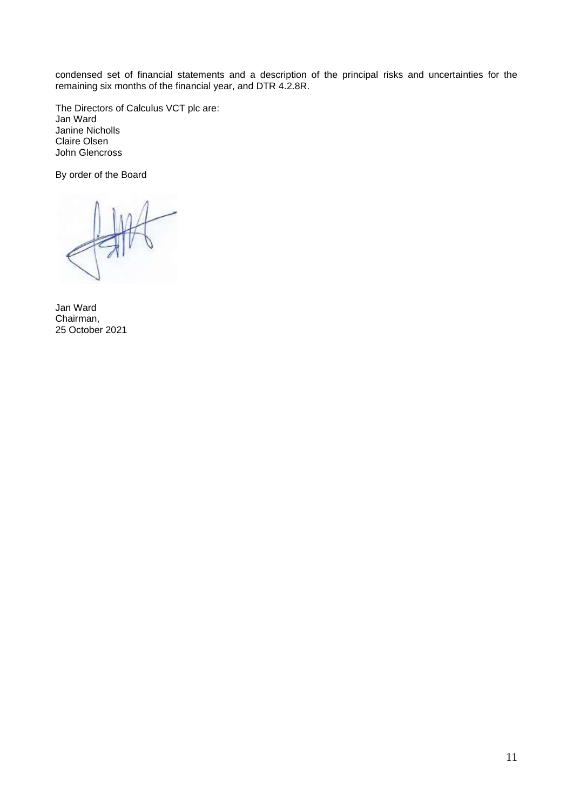condensed set of financial statements and a description of the principal risks and uncertainties for the remaining six months of the financial year, and DTR 4.2.8R.

The Directors of Calculus VCT plc are: Jan Ward Janine Nicholls Claire Olsen John Glencross

By order of the Board

Jan Ward Chairman, 25 October 2021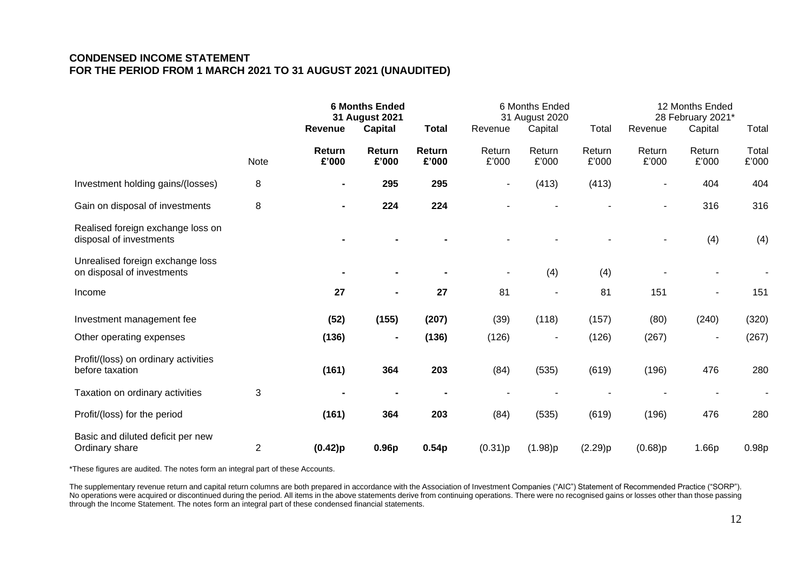# **CONDENSED INCOME STATEMENT FOR THE PERIOD FROM 1 MARCH 2021 TO 31 AUGUST 2021 (UNAUDITED)**

|                                                                |                | <b>6 Months Ended</b><br>31 August 2021 |                 |                 | 6 Months Ended<br>31 August 2020 |                 |                 | 12 Months Ended<br>28 February 2021* |                 |                |
|----------------------------------------------------------------|----------------|-----------------------------------------|-----------------|-----------------|----------------------------------|-----------------|-----------------|--------------------------------------|-----------------|----------------|
|                                                                |                | Revenue                                 | <b>Capital</b>  | <b>Total</b>    | Revenue                          | Capital         | Total           | Revenue                              | Capital         | Total          |
|                                                                | Note           | Return<br>£'000                         | Return<br>£'000 | Return<br>£'000 | Return<br>£'000                  | Return<br>£'000 | Return<br>£'000 | Return<br>£'000                      | Return<br>£'000 | Total<br>£'000 |
| Investment holding gains/(losses)                              | 8              |                                         | 295             | 295             | ٠                                | (413)           | (413)           |                                      | 404             | 404            |
| Gain on disposal of investments                                | 8              | $\blacksquare$                          | 224             | 224             |                                  |                 |                 | ٠                                    | 316             | 316            |
| Realised foreign exchange loss on<br>disposal of investments   |                |                                         |                 |                 |                                  |                 |                 |                                      | (4)             | (4)            |
| Unrealised foreign exchange loss<br>on disposal of investments |                |                                         |                 |                 |                                  | (4)             | (4)             |                                      |                 |                |
| Income                                                         |                | 27                                      |                 | 27              | 81                               |                 | 81              | 151                                  |                 | 151            |
| Investment management fee                                      |                | (52)                                    | (155)           | (207)           | (39)                             | (118)           | (157)           | (80)                                 | (240)           | (320)          |
| Other operating expenses                                       |                | (136)                                   | $\blacksquare$  | (136)           | (126)                            |                 | (126)           | (267)                                |                 | (267)          |
| Profit/(loss) on ordinary activities<br>before taxation        |                | (161)                                   | 364             | 203             | (84)                             | (535)           | (619)           | (196)                                | 476             | 280            |
| Taxation on ordinary activities                                | 3              |                                         |                 |                 |                                  |                 |                 |                                      |                 |                |
| Profit/(loss) for the period                                   |                | (161)                                   | 364             | 203             | (84)                             | (535)           | (619)           | (196)                                | 476             | 280            |
| Basic and diluted deficit per new<br>Ordinary share            | $\overline{2}$ | (0.42)p                                 | 0.96p           | 0.54p           | (0.31)p                          | (1.98)p         | (2.29)p         | (0.68)p                              | 1.66p           | 0.98p          |

\*These figures are audited. The notes form an integral part of these Accounts.

The supplementary revenue return and capital return columns are both prepared in accordance with the Association of Investment Companies ("AIC") Statement of Recommended Practice ("SORP"). No operations were acquired or discontinued during the period. All items in the above statements derive from continuing operations. There were no recognised gains or losses other than those passing through the Income Statement. The notes form an integral part of these condensed financial statements.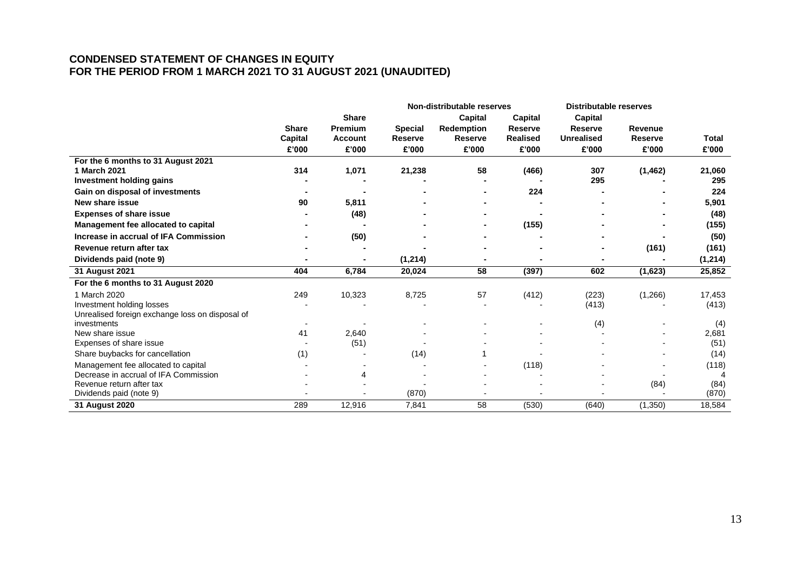# **CONDENSED STATEMENT OF CHANGES IN EQUITY FOR THE PERIOD FROM 1 MARCH 2021 TO 31 AUGUST 2021 (UNAUDITED)**

|                                                 | Non-distributable reserves |                |                |                   |                 |                   | <b>Distributable reserves</b> |         |
|-------------------------------------------------|----------------------------|----------------|----------------|-------------------|-----------------|-------------------|-------------------------------|---------|
|                                                 |                            | <b>Share</b>   |                | <b>Capital</b>    | <b>Capital</b>  | <b>Capital</b>    |                               |         |
|                                                 | <b>Share</b>               | <b>Premium</b> | <b>Special</b> | <b>Redemption</b> | Reserve         | <b>Reserve</b>    | Revenue                       |         |
|                                                 | Capital                    | <b>Account</b> | <b>Reserve</b> | <b>Reserve</b>    | <b>Realised</b> | <b>Unrealised</b> | <b>Reserve</b>                | Total   |
|                                                 | £'000                      | £'000          | £'000          | £'000             | £'000           | £'000             | £'000                         | £'000   |
| For the 6 months to 31 August 2021              |                            |                |                |                   |                 |                   |                               |         |
| 1 March 2021                                    | 314                        | 1,071          | 21,238         | 58                | (466)           | 307               | (1, 462)                      | 21,060  |
| Investment holding gains                        |                            |                |                |                   |                 | 295               |                               | 295     |
| Gain on disposal of investments                 |                            |                |                |                   | 224             |                   |                               | 224     |
| New share issue                                 | 90                         | 5,811          |                |                   |                 |                   |                               | 5,901   |
| <b>Expenses of share issue</b>                  |                            | (48)           |                |                   |                 |                   |                               | (48)    |
| Management fee allocated to capital             |                            |                |                |                   | (155)           |                   |                               | (155)   |
| Increase in accrual of IFA Commission           |                            | (50)           |                |                   |                 |                   |                               | (50)    |
| Revenue return after tax                        |                            |                |                |                   |                 |                   | (161)                         | (161)   |
| Dividends paid (note 9)                         |                            | ۰              | (1,214)        |                   |                 |                   |                               | (1,214) |
| 31 August 2021                                  | 404                        | 6,784          | 20,024         | 58                | (397)           | 602               | (1,623)                       | 25,852  |
| For the 6 months to 31 August 2020              |                            |                |                |                   |                 |                   |                               |         |
| 1 March 2020                                    | 249                        | 10,323         | 8,725          | 57                | (412)           | (223)             | (1,266)                       | 17,453  |
| Investment holding losses                       |                            |                |                |                   |                 | (413)             |                               | (413)   |
| Unrealised foreign exchange loss on disposal of |                            |                |                |                   |                 |                   |                               |         |
| investments                                     |                            |                |                |                   |                 | (4)               |                               | (4)     |
| New share issue                                 | 41                         | 2,640          |                |                   |                 |                   |                               | 2,681   |
| Expenses of share issue                         |                            | (51)           |                |                   |                 |                   |                               | (51)    |
| Share buybacks for cancellation                 | (1)                        |                | (14)           |                   |                 |                   |                               | (14)    |
| Management fee allocated to capital             |                            |                |                |                   | (118)           |                   |                               | (118)   |
| Decrease in accrual of IFA Commission           |                            | $\overline{4}$ |                |                   |                 |                   |                               |         |
| Revenue return after tax                        |                            |                |                |                   |                 |                   | (84)                          | (84)    |
| Dividends paid (note 9)                         |                            |                | (870)          |                   |                 |                   |                               | (870)   |
| 31 August 2020                                  | 289                        | 12,916         | 7,841          | 58                | (530)           | (640)             | (1, 350)                      | 18,584  |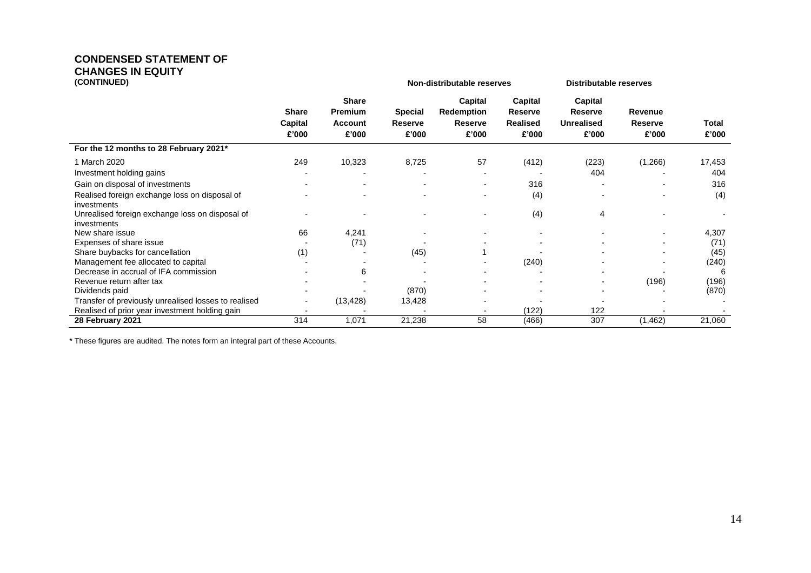# **CONDENSED STATEMENT OF CHANGES IN EQUITY**

| (CONTINUED)                                                    |                                  |                                                    | <b>Non-distributable reserves</b>         |                                                         | <b>Distributable reserves</b>                         |                                                         |                             |                |
|----------------------------------------------------------------|----------------------------------|----------------------------------------------------|-------------------------------------------|---------------------------------------------------------|-------------------------------------------------------|---------------------------------------------------------|-----------------------------|----------------|
|                                                                | <b>Share</b><br>Capital<br>£'000 | <b>Share</b><br><b>Premium</b><br>Account<br>£'000 | <b>Special</b><br><b>Reserve</b><br>£'000 | Capital<br><b>Redemption</b><br><b>Reserve</b><br>£'000 | Capital<br><b>Reserve</b><br><b>Realised</b><br>£'000 | Capital<br><b>Reserve</b><br><b>Unrealised</b><br>£'000 | Revenue<br>Reserve<br>£'000 | Total<br>£'000 |
| For the 12 months to 28 February 2021*                         |                                  |                                                    |                                           |                                                         |                                                       |                                                         |                             |                |
| 1 March 2020                                                   | 249                              | 10,323                                             | 8,725                                     | 57                                                      | (412)                                                 | (223)                                                   | (1,266)                     | 17,453         |
| Investment holding gains                                       |                                  |                                                    |                                           | $\blacksquare$                                          |                                                       | 404                                                     |                             | 404            |
| Gain on disposal of investments                                |                                  |                                                    |                                           |                                                         | 316                                                   |                                                         |                             | 316            |
| Realised foreign exchange loss on disposal of<br>investments   |                                  |                                                    |                                           |                                                         | (4)                                                   |                                                         |                             | (4)            |
| Unrealised foreign exchange loss on disposal of<br>investments |                                  |                                                    |                                           |                                                         | (4)                                                   | 4                                                       |                             |                |
| New share issue                                                | 66                               | 4,241                                              |                                           |                                                         |                                                       |                                                         | $\overline{\phantom{a}}$    | 4,307          |
| Expenses of share issue                                        |                                  | (71)                                               |                                           |                                                         |                                                       |                                                         |                             | (71)           |
| Share buybacks for cancellation                                | (1)                              |                                                    | (45)                                      |                                                         |                                                       |                                                         |                             | (45)           |
| Management fee allocated to capital                            |                                  |                                                    |                                           |                                                         | (240)                                                 |                                                         |                             | (240)          |
| Decrease in accrual of IFA commission                          |                                  | 6                                                  |                                           |                                                         |                                                       |                                                         |                             | 6              |
| Revenue return after tax                                       |                                  |                                                    |                                           |                                                         |                                                       |                                                         | (196)                       | (196)          |
| Dividends paid                                                 |                                  |                                                    | (870)                                     |                                                         |                                                       |                                                         |                             | (870)          |
| Transfer of previously unrealised losses to realised           |                                  | (13, 428)                                          | 13,428                                    |                                                         |                                                       |                                                         |                             |                |
| Realised of prior year investment holding gain                 |                                  |                                                    |                                           |                                                         | (122)                                                 | 122                                                     |                             |                |
| 28 February 2021                                               | 314                              | 1,071                                              | 21,238                                    | 58                                                      | (466)                                                 | 307                                                     | (1, 462)                    | 21,060         |

\* These figures are audited. The notes form an integral part of these Accounts.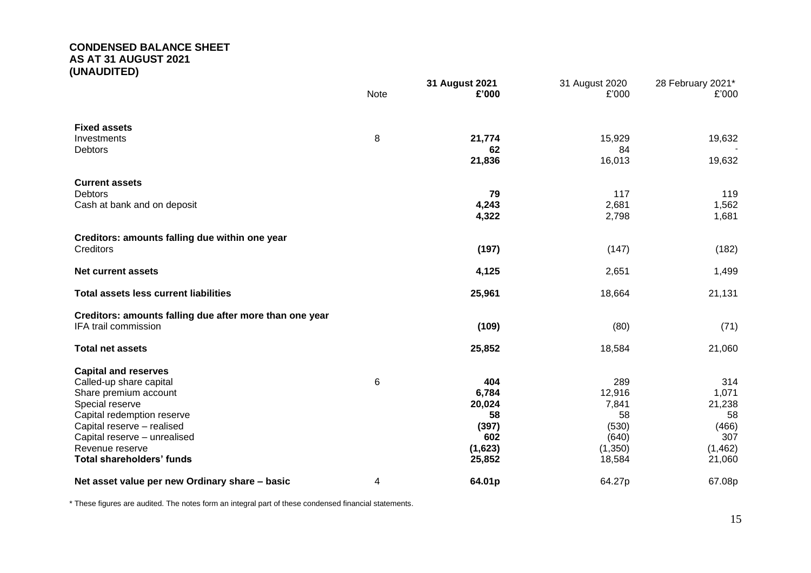# **CONDENSED BALANCE SHEET AS AT 31 AUGUST 2021 (UNAUDITED)**

|                                                                                                                                                                                                                                                       | <b>Note</b> | 31 August 2021<br>£'000                                           | 31 August 2020<br>£'000                                             | 28 February 2021*<br>£'000                                        |
|-------------------------------------------------------------------------------------------------------------------------------------------------------------------------------------------------------------------------------------------------------|-------------|-------------------------------------------------------------------|---------------------------------------------------------------------|-------------------------------------------------------------------|
| <b>Fixed assets</b><br>Investments<br>Debtors                                                                                                                                                                                                         | 8           | 21,774<br>62<br>21,836                                            | 15,929<br>84<br>16,013                                              | 19,632<br>19,632                                                  |
| <b>Current assets</b><br><b>Debtors</b><br>Cash at bank and on deposit                                                                                                                                                                                |             | 79<br>4,243<br>4,322                                              | 117<br>2,681<br>2,798                                               | 119<br>1,562<br>1,681                                             |
| Creditors: amounts falling due within one year<br>Creditors                                                                                                                                                                                           |             | (197)                                                             | (147)                                                               | (182)                                                             |
| <b>Net current assets</b>                                                                                                                                                                                                                             |             | 4,125                                                             | 2,651                                                               | 1,499                                                             |
| <b>Total assets less current liabilities</b>                                                                                                                                                                                                          |             | 25,961                                                            | 18,664                                                              | 21,131                                                            |
| Creditors: amounts falling due after more than one year<br>IFA trail commission                                                                                                                                                                       |             | (109)                                                             | (80)                                                                | (71)                                                              |
| <b>Total net assets</b>                                                                                                                                                                                                                               |             | 25,852                                                            | 18,584                                                              | 21,060                                                            |
| <b>Capital and reserves</b><br>Called-up share capital<br>Share premium account<br>Special reserve<br>Capital redemption reserve<br>Capital reserve - realised<br>Capital reserve - unrealised<br>Revenue reserve<br><b>Total shareholders' funds</b> | 6           | 404<br>6,784<br>20,024<br>58<br>(397)<br>602<br>(1,623)<br>25,852 | 289<br>12,916<br>7,841<br>58<br>(530)<br>(640)<br>(1,350)<br>18,584 | 314<br>1,071<br>21,238<br>58<br>(466)<br>307<br>(1,462)<br>21,060 |
| Net asset value per new Ordinary share - basic                                                                                                                                                                                                        | 4           | 64.01p                                                            | 64.27p                                                              | 67.08p                                                            |

\* These figures are audited. The notes form an integral part of these condensed financial statements.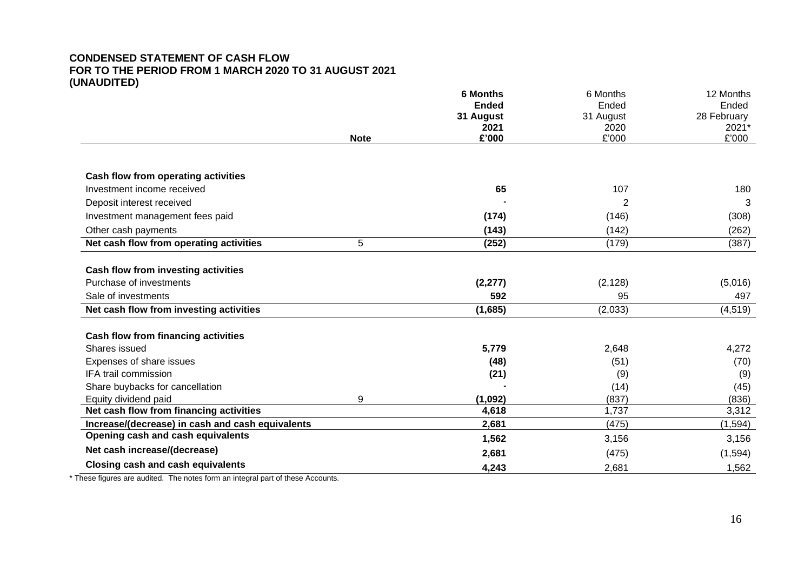# **CONDENSED STATEMENT OF CASH FLOW FOR TO THE PERIOD FROM 1 MARCH 2020 TO 31 AUGUST 2021 (UNAUDITED)**

|                                                  |             | <b>6 Months</b> | 6 Months  | 12 Months   |
|--------------------------------------------------|-------------|-----------------|-----------|-------------|
|                                                  |             | <b>Ended</b>    | Ended     | Ended       |
|                                                  |             | 31 August       | 31 August | 28 February |
|                                                  |             | 2021            | 2020      | 2021*       |
|                                                  | <b>Note</b> | £'000           | £'000     | £'000       |
| Cash flow from operating activities              |             |                 |           |             |
| Investment income received                       |             | 65              | 107       | 180         |
| Deposit interest received                        |             |                 | 2         | 3           |
| Investment management fees paid                  |             | (174)           | (146)     | (308)       |
| Other cash payments                              |             | (143)           | (142)     | (262)       |
| Net cash flow from operating activities          | 5           | (252)           | (179)     | (387)       |
| Cash flow from investing activities              |             |                 |           |             |
| Purchase of investments                          |             | (2, 277)        | (2, 128)  | (5,016)     |
| Sale of investments                              |             | 592             | 95        | 497         |
| Net cash flow from investing activities          |             | (1,685)         | (2,033)   | (4, 519)    |
| <b>Cash flow from financing activities</b>       |             |                 |           |             |
| Shares issued                                    |             | 5,779           | 2,648     | 4,272       |
| Expenses of share issues                         |             | (48)            | (51)      | (70)        |
| IFA trail commission                             |             | (21)            | (9)       | (9)         |
| Share buybacks for cancellation                  |             |                 | (14)      | (45)        |
| Equity dividend paid                             | 9           | (1,092)         | (837)     | (836)       |
| Net cash flow from financing activities          |             | 4,618           | 1,737     | 3,312       |
| Increase/(decrease) in cash and cash equivalents |             | 2,681           | (475)     | (1, 594)    |
| Opening cash and cash equivalents                |             | 1,562           | 3,156     | 3,156       |
| Net cash increase/(decrease)                     |             | 2,681           | (475)     | (1, 594)    |
| <b>Closing cash and cash equivalents</b>         |             | 4,243           | 2,681     | 1,562       |

\* These figures are audited. The notes form an integral part of these Accounts.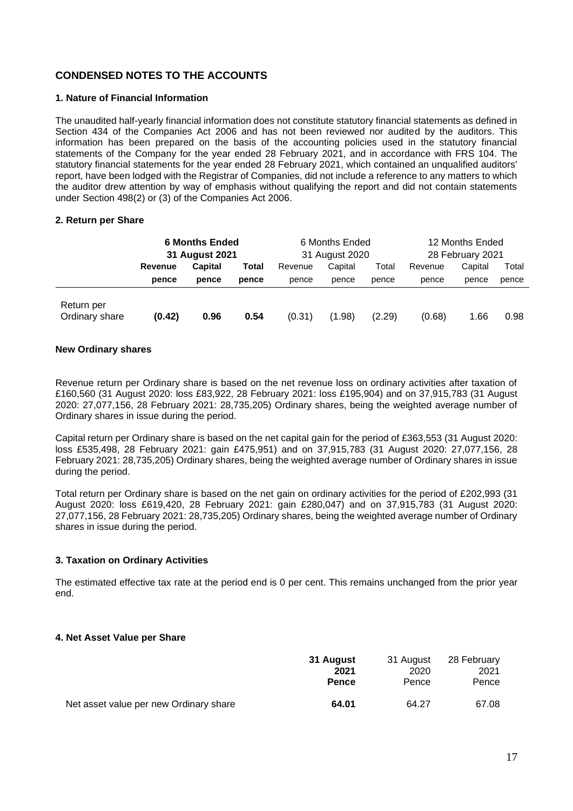# **CONDENSED NOTES TO THE ACCOUNTS**

### **1. Nature of Financial Information**

The unaudited half-yearly financial information does not constitute statutory financial statements as defined in Section 434 of the Companies Act 2006 and has not been reviewed nor audited by the auditors. This information has been prepared on the basis of the accounting policies used in the statutory financial statements of the Company for the year ended 28 February 2021, and in accordance with FRS 104. The statutory financial statements for the year ended 28 February 2021, which contained an unqualified auditors' report, have been lodged with the Registrar of Companies, did not include a reference to any matters to which the auditor drew attention by way of emphasis without qualifying the report and did not contain statements under Section 498(2) or (3) of the Companies Act 2006.

#### **2. Return per Share**

|                              | <b>6 Months Ended</b><br>31 August 2021 |         | 6 Months Ended<br>31 August 2020 |         |         | 12 Months Ended<br>28 February 2021 |         |         |       |
|------------------------------|-----------------------------------------|---------|----------------------------------|---------|---------|-------------------------------------|---------|---------|-------|
|                              | Revenue                                 | Capital | Total                            | Revenue | Capital | Total                               | Revenue | Capital | Total |
|                              | pence                                   | pence   | pence                            | pence   | pence   | pence                               | pence   | pence   | pence |
| Return per<br>Ordinary share | (0.42)                                  | 0.96    | 0.54                             | (0.31)  | (1.98)  | (2.29)                              | (0.68)  | 1.66    | 0.98  |

#### **New Ordinary shares**

Revenue return per Ordinary share is based on the net revenue loss on ordinary activities after taxation of £160,560 (31 August 2020: loss £83,922, 28 February 2021: loss £195,904) and on 37,915,783 (31 August 2020: 27,077,156, 28 February 2021: 28,735,205) Ordinary shares, being the weighted average number of Ordinary shares in issue during the period.

Capital return per Ordinary share is based on the net capital gain for the period of £363,553 (31 August 2020: loss £535,498, 28 February 2021: gain £475,951) and on 37,915,783 (31 August 2020: 27,077,156, 28 February 2021: 28,735,205) Ordinary shares, being the weighted average number of Ordinary shares in issue during the period.

Total return per Ordinary share is based on the net gain on ordinary activities for the period of £202,993 (31 August 2020: loss £619,420, 28 February 2021: gain £280,047) and on 37,915,783 (31 August 2020: 27,077,156, 28 February 2021: 28,735,205) Ordinary shares, being the weighted average number of Ordinary shares in issue during the period.

# **3. Taxation on Ordinary Activities**

The estimated effective tax rate at the period end is 0 per cent. This remains unchanged from the prior year end.

# **4. Net Asset Value per Share**

|                                        | 31 August    | 31 August | 28 February |
|----------------------------------------|--------------|-----------|-------------|
|                                        | 2021         | 2020      | 2021        |
|                                        | <b>Pence</b> | Pence     | Pence       |
| Net asset value per new Ordinary share | 64.01        | 64.27     | 67.08       |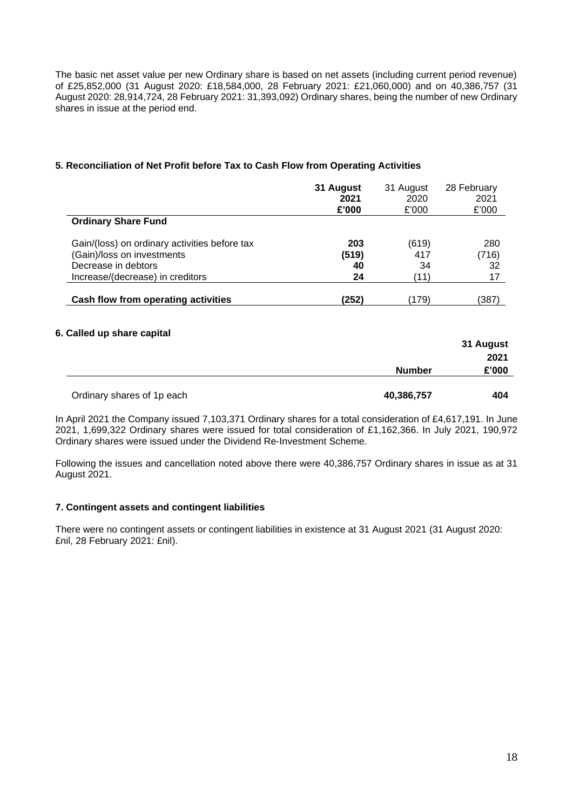The basic net asset value per new Ordinary share is based on net assets (including current period revenue) of £25,852,000 (31 August 2020: £18,584,000, 28 February 2021: £21,060,000) and on 40,386,757 (31 August 2020: 28,914,724, 28 February 2021: 31,393,092) Ordinary shares, being the number of new Ordinary shares in issue at the period end.

# **5. Reconciliation of Net Profit before Tax to Cash Flow from Operating Activities**

|                                               | 31 August | 31 August | 28 February |
|-----------------------------------------------|-----------|-----------|-------------|
|                                               | 2021      | 2020      | 2021        |
|                                               | £'000     | £'000     | £'000       |
| <b>Ordinary Share Fund</b>                    |           |           |             |
| Gain/(loss) on ordinary activities before tax | 203       | (619)     | 280         |
| (Gain)/loss on investments                    | (519)     | 417       | (716)       |
| Decrease in debtors                           | 40        | 34        | 32          |
| Increase/(decrease) in creditors              | 24        | (11)      | 17          |
| Cash flow from operating activities           | (252)     | (179)     | (387)       |

# **6. Called up share capital**

|                            |               | 31 August |
|----------------------------|---------------|-----------|
|                            |               | 2021      |
|                            | <b>Number</b> | £'000     |
| Ordinary shares of 1p each | 40,386,757    | 404       |

In April 2021 the Company issued 7,103,371 Ordinary shares for a total consideration of £4,617,191. In June 2021, 1,699,322 Ordinary shares were issued for total consideration of £1,162,366. In July 2021, 190,972 Ordinary shares were issued under the Dividend Re-Investment Scheme.

Following the issues and cancellation noted above there were 40,386,757 Ordinary shares in issue as at 31 August 2021.

# **7. Contingent assets and contingent liabilities**

There were no contingent assets or contingent liabilities in existence at 31 August 2021 (31 August 2020: £nil, 28 February 2021: £nil).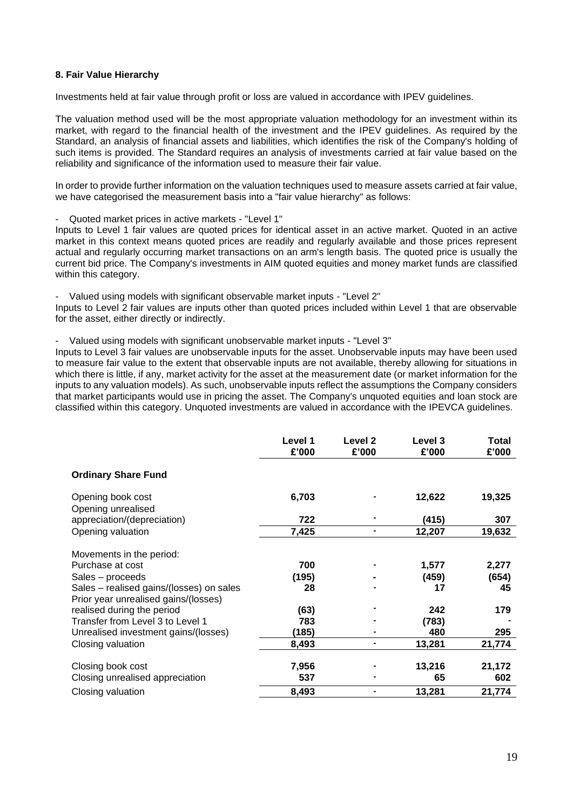#### **8. Fair Value Hierarchy**

Investments held at fair value through profit or loss are valued in accordance with IPEV guidelines.

The valuation method used will be the most appropriate valuation methodology for an investment within its market, with regard to the financial health of the investment and the IPEV guidelines. As required by the Standard, an analysis of financial assets and liabilities, which identifies the risk of the Company's holding of such items is provided. The Standard requires an analysis of investments carried at fair value based on the reliability and significance of the information used to measure their fair value.

In order to provide further information on the valuation techniques used to measure assets carried at fair value, we have categorised the measurement basis into a "fair value hierarchy" as follows:

#### - Quoted market prices in active markets - "Level 1"

Inputs to Level 1 fair values are quoted prices for identical asset in an active market. Quoted in an active market in this context means quoted prices are readily and regularly available and those prices represent actual and regularly occurring market transactions on an arm's length basis. The quoted price is usually the current bid price. The Company's investments in AIM quoted equities and money market funds are classified within this category.

- Valued using models with significant observable market inputs - "Level 2"

Inputs to Level 2 fair values are inputs other than quoted prices included within Level 1 that are observable for the asset, either directly or indirectly.

- Valued using models with significant unobservable market inputs - "Level 3"

Inputs to Level 3 fair values are unobservable inputs for the asset. Unobservable inputs may have been used to measure fair value to the extent that observable inputs are not available, thereby allowing for situations in which there is little, if any, market activity for the asset at the measurement date (or market information for the inputs to any valuation models). As such, unobservable inputs reflect the assumptions the Company considers that market participants would use in pricing the asset. The Company's unquoted equities and loan stock are classified within this category. Unquoted investments are valued in accordance with the IPEVCA guidelines.

|                                                                                  | Level 1<br>£'000 | Level 2<br>£'000 | Level 3<br>£'000 | Total<br>£'000 |
|----------------------------------------------------------------------------------|------------------|------------------|------------------|----------------|
| <b>Ordinary Share Fund</b>                                                       |                  |                  |                  |                |
| Opening book cost<br>Opening unrealised                                          | 6,703            |                  | 12,622           | 19,325         |
| appreciation/(depreciation)                                                      | 722              |                  | (415)            | 307            |
| Opening valuation                                                                | 7,425            |                  | 12,207           | 19,632         |
| Movements in the period:                                                         |                  |                  |                  |                |
| Purchase at cost                                                                 | 700              |                  | 1,577            | 2,277          |
| Sales – proceeds                                                                 | (195)            |                  | (459)            | (654)          |
| Sales – realised gains/(losses) on sales<br>Prior year unrealised gains/(losses) | 28               |                  | 17               | 45             |
| realised during the period                                                       | (63)             |                  | 242              | 179            |
| Transfer from Level 3 to Level 1                                                 | 783              |                  | (783)            |                |
| Unrealised investment gains/(losses)                                             | (185)            |                  | 480              | 295            |
| Closing valuation                                                                | 8,493            |                  | 13,281           | 21,774         |
| Closing book cost                                                                | 7,956            |                  | 13,216           | 21,172         |
| Closing unrealised appreciation                                                  | 537              |                  | 65               | 602            |
| Closing valuation                                                                | 8,493            |                  | 13,281           | 21,774         |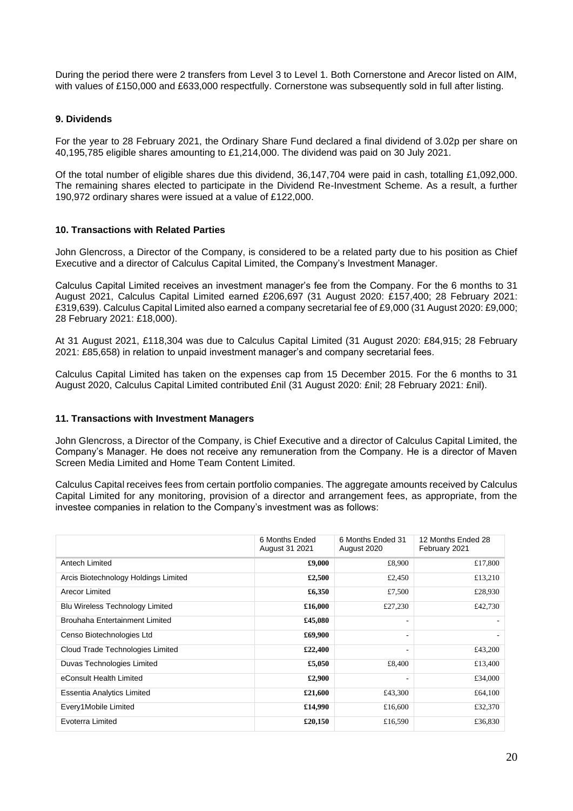During the period there were 2 transfers from Level 3 to Level 1. Both Cornerstone and Arecor listed on AIM, with values of £150,000 and £633,000 respectfully. Cornerstone was subsequently sold in full after listing.

### **9. Dividends**

For the year to 28 February 2021, the Ordinary Share Fund declared a final dividend of 3.02p per share on 40,195,785 eligible shares amounting to £1,214,000. The dividend was paid on 30 July 2021.

Of the total number of eligible shares due this dividend, 36,147,704 were paid in cash, totalling £1,092,000. The remaining shares elected to participate in the Dividend Re-Investment Scheme. As a result, a further 190,972 ordinary shares were issued at a value of £122,000.

#### **10. Transactions with Related Parties**

John Glencross, a Director of the Company, is considered to be a related party due to his position as Chief Executive and a director of Calculus Capital Limited, the Company's Investment Manager.

Calculus Capital Limited receives an investment manager's fee from the Company. For the 6 months to 31 August 2021, Calculus Capital Limited earned £206,697 (31 August 2020: £157,400; 28 February 2021: £319,639). Calculus Capital Limited also earned a company secretarial fee of £9,000 (31 August 2020: £9,000; 28 February 2021: £18,000).

At 31 August 2021, £118,304 was due to Calculus Capital Limited (31 August 2020: £84,915; 28 February 2021: £85,658) in relation to unpaid investment manager's and company secretarial fees.

Calculus Capital Limited has taken on the expenses cap from 15 December 2015. For the 6 months to 31 August 2020, Calculus Capital Limited contributed £nil (31 August 2020: £nil; 28 February 2021: £nil).

#### **11. Transactions with Investment Managers**

John Glencross, a Director of the Company, is Chief Executive and a director of Calculus Capital Limited, the Company's Manager. He does not receive any remuneration from the Company. He is a director of Maven Screen Media Limited and Home Team Content Limited.

Calculus Capital receives fees from certain portfolio companies. The aggregate amounts received by Calculus Capital Limited for any monitoring, provision of a director and arrangement fees, as appropriate, from the investee companies in relation to the Company's investment was as follows:

|                                        | 6 Months Ended<br>August 31 2021 | 6 Months Ended 31<br>August 2020 | 12 Months Ended 28<br>February 2021 |
|----------------------------------------|----------------------------------|----------------------------------|-------------------------------------|
| Antech Limited                         | £9,000                           | £8,900                           | £17,800                             |
| Arcis Biotechnology Holdings Limited   | £2,500                           | £2,450                           | £13,210                             |
| Arecor Limited                         | £6,350                           | £7,500                           | £28,930                             |
| <b>Blu Wireless Technology Limited</b> | £16,000                          | £27,230                          | £42,730                             |
| Brouhaha Entertainment Limited         | £45,080                          | ۰                                |                                     |
| Censo Biotechnologies Ltd              | £69,900                          | ۰.                               |                                     |
| Cloud Trade Technologies Limited       | £22,400                          | ۰                                | £43,200                             |
| Duvas Technologies Limited             | £5,050                           | £8,400                           | £13,400                             |
| eConsult Health Limited                | £2,900                           | ۰                                | £34,000                             |
| Essentia Analytics Limited             | £21,600                          | £43,300                          | £64,100                             |
| Every1Mobile Limited                   | £14,990                          | £16,600                          | £32,370                             |
| Evoterra Limited                       | £20,150                          | £16,590                          | £36,830                             |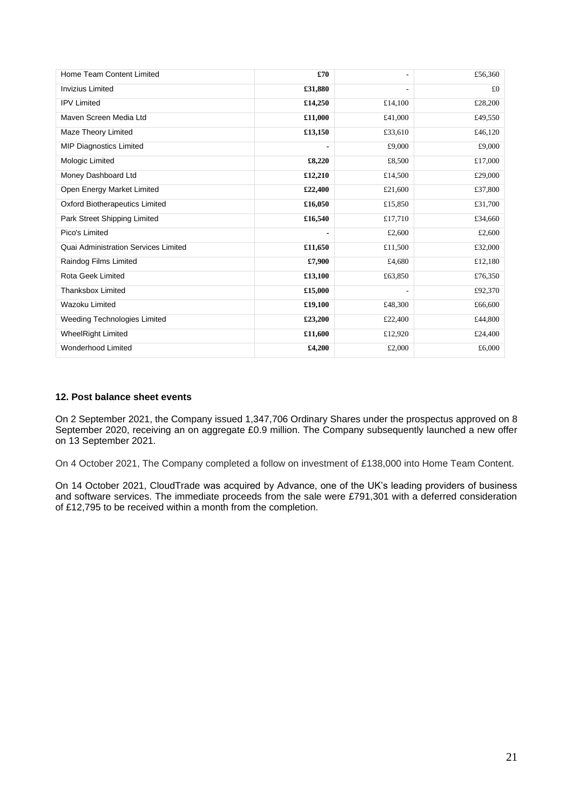| Home Team Content Limited                   | £70            | ٠               | £56,360 |
|---------------------------------------------|----------------|-----------------|---------|
| <b>Invizius Limited</b>                     | £31,880        | $\qquad \qquad$ | £0      |
| <b>IPV Limited</b>                          | £14,250        | £14,100         | £28,200 |
| Maven Screen Media Ltd                      | £11,000        | £41,000         | £49,550 |
| Maze Theory Limited                         | £13,150        | £33,610         | £46,120 |
| <b>MIP Diagnostics Limited</b>              |                | £9,000          | £9,000  |
| Mologic Limited                             | £8,220         | £8,500          | £17,000 |
| Money Dashboard Ltd                         | £12,210        | £14,500         | £29,000 |
| Open Energy Market Limited                  | £22,400        | £21,600         | £37,800 |
| <b>Oxford Biotherapeutics Limited</b>       | £16,050        | £15,850         | £31,700 |
| Park Street Shipping Limited                | £16,540        | £17,710         | £34,660 |
| Pico's Limited                              | $\blacksquare$ | £2,600          | £2,600  |
| <b>Quai Administration Services Limited</b> | £11,650        | £11,500         | £32,000 |
| Raindog Films Limited                       | £7,900         | £4,680          | £12,180 |
| <b>Rota Geek Limited</b>                    | £13,100        | £63,850         | £76,350 |
| <b>Thanksbox Limited</b>                    | £15,000        |                 | £92,370 |
| Wazoku Limited                              | £19,100        | £48,300         | £66,600 |
| <b>Weeding Technologies Limited</b>         | £23,200        | £22,400         | £44,800 |
| <b>WheelRight Limited</b>                   | £11,600        | £12,920         | £24,400 |
| Wonderhood Limited                          | £4,200         | £2,000          | £6,000  |

# **12. Post balance sheet events**

On 2 September 2021, the Company issued 1,347,706 Ordinary Shares under the prospectus approved on 8 September 2020, receiving an on aggregate £0.9 million. The Company subsequently launched a new offer on 13 September 2021.

On 4 October 2021, The Company completed a follow on investment of £138,000 into Home Team Content.

On 14 October 2021, CloudTrade was acquired by Advance, one of the UK's leading providers of business and software services. The immediate proceeds from the sale were £791,301 with a deferred consideration of £12,795 to be received within a month from the completion.